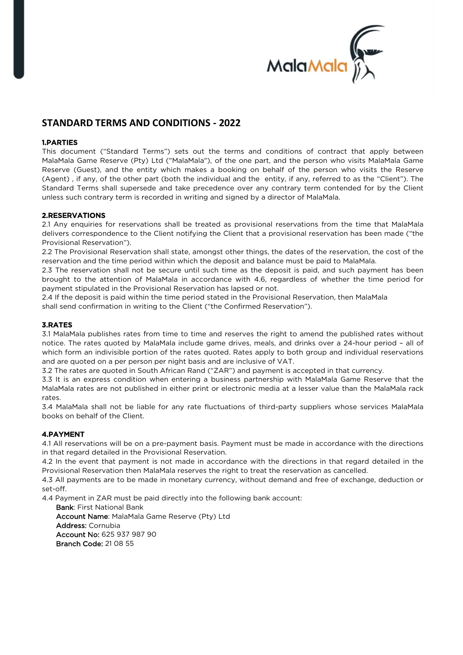

# **STANDARD TERMS AND CONDITIONS - 2022**

## 1.PARTIES

This document ("Standard Terms") sets out the terms and conditions of contract that apply between MalaMala Game Reserve (Pty) Ltd ("MalaMala"), of the one part, and the person who visits MalaMala Game Reserve (Guest), and the entity which makes a booking on behalf of the person who visits the Reserve (Agent) , if any, of the other part (both the individual and the entity, if any, referred to as the "Client"). The Standard Terms shall supersede and take precedence over any contrary term contended for by the Client unless such contrary term is recorded in writing and signed by a director of MalaMala.

### 2.RESERVATIONS

2.1 Any enquiries for reservations shall be treated as provisional reservations from the time that MalaMala delivers correspondence to the Client notifying the Client that a provisional reservation has been made ("the Provisional Reservation").

2.2 The Provisional Reservation shall state, amongst other things, the dates of the reservation, the cost of the reservation and the time period within which the deposit and balance must be paid to MalaMala.

2.3 The reservation shall not be secure until such time as the deposit is paid, and such payment has been brought to the attention of MalaMala in accordance with 4.6, regardless of whether the time period for payment stipulated in the Provisional Reservation has lapsed or not.

2.4 If the deposit is paid within the time period stated in the Provisional Reservation, then MalaMala

shall send confirmation in writing to the Client ("the Confirmed Reservation").

## 3.RATES

3.1 MalaMala publishes rates from time to time and reserves the right to amend the published rates without notice. The rates quoted by MalaMala include game drives, meals, and drinks over a 24-hour period – all of which form an indivisible portion of the rates quoted. Rates apply to both group and individual reservations and are quoted on a per person per night basis and are inclusive of VAT.

3.2 The rates are quoted in South African Rand ("ZAR") and payment is accepted in that currency.

3.3 It is an express condition when entering a business partnership with MalaMala Game Reserve that the MalaMala rates are not published in either print or electronic media at a lesser value than the MalaMala rack rates.

3.4 MalaMala shall not be liable for any rate fluctuations of third-party suppliers whose services MalaMala books on behalf of the Client.

### 4.PAYMENT

4.1 All reservations will be on a pre-payment basis. Payment must be made in accordance with the directions in that regard detailed in the Provisional Reservation.

4.2 In the event that payment is not made in accordance with the directions in that regard detailed in the Provisional Reservation then MalaMala reserves the right to treat the reservation as cancelled.

4.3 All payments are to be made in monetary currency, without demand and free of exchange, deduction or set-off.

4.4 Payment in ZAR must be paid directly into the following bank account:

 Bank: First National Bank Account Name: MalaMala Game Reserve (Pty) Ltd Address: Cornubia Account No: 625 937 987 90 Branch Code: 21 08 55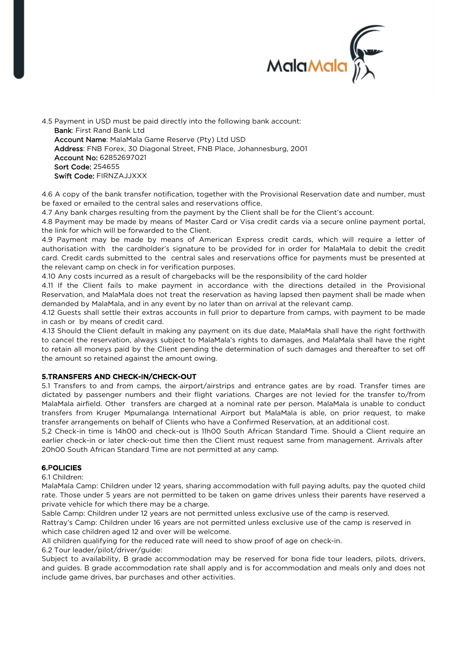

4.5 Payment in USD must be paid directly into the following bank account: Bank: First Rand Bank Ltd Account Name: MalaMala Game Reserve (Pty) Ltd USD Address: FNB Forex, 30 Diagonal Street, FNB Place, Johannesburg, 2001 Account No: 62852697021 Sort Code: 254655 Swift Code: FIRNZAJJXXX

4.6 A copy of the bank transfer notification, together with the Provisional Reservation date and number, must be faxed or emailed to the central sales and reservations office.

4.7 Any bank charges resulting from the payment by the Client shall be for the Client's account.

4.8 Payment may be made by means of Master Card or Visa credit cards via a secure online payment portal, the link for which will be forwarded to the Client.

4.9 Payment may be made by means of American Express credit cards, which will require a letter of authorisation with the cardholder's signature to be provided for in order for MalaMala to debit the credit card. Credit cards submitted to the central sales and reservations office for payments must be presented at the relevant camp on check in for verification purposes.

4.10 Any costs incurred as a result of chargebacks will be the responsibility of the card holder

4.11 If the Client fails to make payment in accordance with the directions detailed in the Provisional Reservation, and MalaMala does not treat the reservation as having lapsed then payment shall be made when demanded by MalaMala, and in any event by no later than on arrival at the relevant camp.

4.12 Guests shall settle their extras accounts in full prior to departure from camps, with payment to be made in cash or by means of credit card.

4.13 Should the Client default in making any payment on its due date, MalaMala shall have the right forthwith to cancel the reservation, always subject to MalaMala's rights to damages, and MalaMala shall have the right to retain all moneys paid by the Client pending the determination of such damages and thereafter to set off the amount so retained against the amount owing.

### 5.TRANSFERS AND CHECK-IN/CHECK-OUT

5.1 Transfers to and from camps, the airport/airstrips and entrance gates are by road. Transfer times are dictated by passenger numbers and their flight variations. Charges are not levied for the transfer to/from MalaMala airfield. Other transfers are charged at a nominal rate per person. MalaMala is unable to conduct transfers from Kruger Mpumalanga International Airport but MalaMala is able, on prior request, to make transfer arrangements on behalf of Clients who have a Confirmed Reservation, at an additional cost.

5.2 Check-in time is 14h00 and check-out is 11h00 South African Standard Time. Should a Client require an earlier check-in or later check-out time then the Client must request same from management. Arrivals after 20h00 South African Standard Time are not permitted at any camp.

## 6.POLICIES

#### 6.1 Children:

MalaMala Camp: Children under 12 years, sharing accommodation with full paying adults, pay the quoted child rate. Those under 5 years are not permitted to be taken on game drives unless their parents have reserved a private vehicle for which there may be a charge.

Sable Camp: Children under 12 years are not permitted unless exclusive use of the camp is reserved. Rattray's Camp: Children under 16 years are not permitted unless exclusive use of the camp is reserved in which case children aged 12 and over will be welcome.

All children qualifying for the reduced rate will need to show proof of age on check-in.

6.2 Tour leader/pilot/driver/guide:

Subject to availability, B grade accommodation may be reserved for bona fide tour leaders, pilots, drivers, and guides. B grade accommodation rate shall apply and is for accommodation and meals only and does not include game drives, bar purchases and other activities.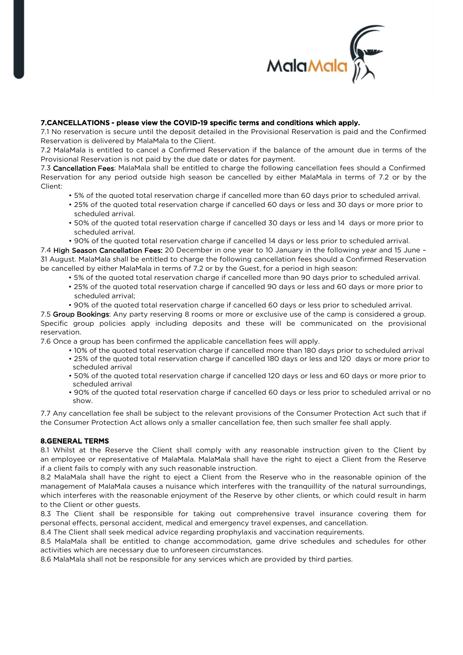

### 7.CANCELLATIONS - please view the COVID-19 specific terms and conditions which apply.

7.1 No reservation is secure until the deposit detailed in the Provisional Reservation is paid and the Confirmed Reservation is delivered by MalaMala to the Client.

7.2 MalaMala is entitled to cancel a Confirmed Reservation if the balance of the amount due in terms of the Provisional Reservation is not paid by the due date or dates for payment.

7.3 Cancellation Fees: MalaMala shall be entitled to charge the following cancellation fees should a Confirmed Reservation for any period outside high season be cancelled by either MalaMala in terms of 7.2 or by the Client:

- 5% of the quoted total reservation charge if cancelled more than 60 days prior to scheduled arrival.
- 25% of the quoted total reservation charge if cancelled 60 days or less and 30 days or more prior to scheduled arrival.
- 50% of the quoted total reservation charge if cancelled 30 days or less and 14 days or more prior to scheduled arrival.
- 90% of the quoted total reservation charge if cancelled 14 days or less prior to scheduled arrival.

7.4 High Season Cancellation Fees: 20 December in one year to 10 January in the following year and 15 June -31 August. MalaMala shall be entitled to charge the following cancellation fees should a Confirmed Reservation be cancelled by either MalaMala in terms of 7.2 or by the Guest, for a period in high season:

- 5% of the quoted total reservation charge if cancelled more than 90 days prior to scheduled arrival.
- 25% of the quoted total reservation charge if cancelled 90 days or less and 60 days or more prior to scheduled arrival;
- 90% of the quoted total reservation charge if cancelled 60 days or less prior to scheduled arrival.

7.5 Group Bookings: Any party reserving 8 rooms or more or exclusive use of the camp is considered a group. Specific group policies apply including deposits and these will be communicated on the provisional reservation.

7.6 Once a group has been confirmed the applicable cancellation fees will apply.

- 10% of the quoted total reservation charge if cancelled more than 180 days prior to scheduled arrival
- 25% of the quoted total reservation charge if cancelled 180 days or less and 120 days or more prior to scheduled arrival
- 50% of the quoted total reservation charge if cancelled 120 days or less and 60 days or more prior to scheduled arrival
- 90% of the quoted total reservation charge if cancelled 60 days or less prior to scheduled arrival or no show.

7.7 Any cancellation fee shall be subject to the relevant provisions of the Consumer Protection Act such that if the Consumer Protection Act allows only a smaller cancellation fee, then such smaller fee shall apply.

### 8.GENERAL TERMS

8.1 Whilst at the Reserve the Client shall comply with any reasonable instruction given to the Client by an employee or representative of MalaMala. MalaMala shall have the right to eject a Client from the Reserve if a client fails to comply with any such reasonable instruction.

8.2 MalaMala shall have the right to eject a Client from the Reserve who in the reasonable opinion of the management of MalaMala causes a nuisance which interferes with the tranquillity of the natural surroundings, which interferes with the reasonable enjoyment of the Reserve by other clients, or which could result in harm to the Client or other guests.

8.3 The Client shall be responsible for taking out comprehensive travel insurance covering them for personal effects, personal accident, medical and emergency travel expenses, and cancellation.

8.4 The Client shall seek medical advice regarding prophylaxis and vaccination requirements.

8.5 MalaMala shall be entitled to change accommodation, game drive schedules and schedules for other activities which are necessary due to unforeseen circumstances.

8.6 MalaMala shall not be responsible for any services which are provided by third parties.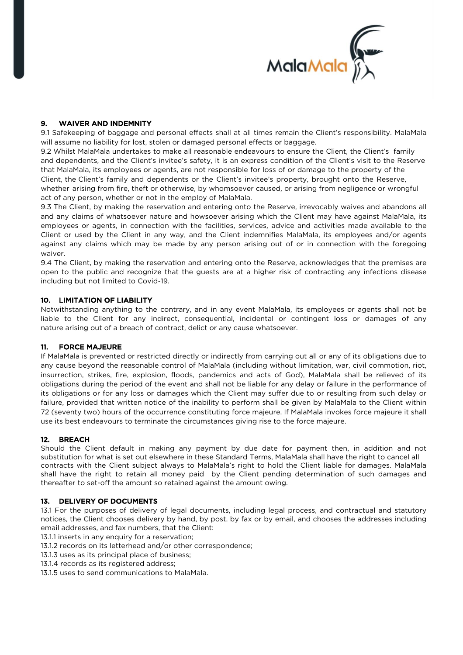

## 9. WAIVER AND INDEMNITY

9.1 Safekeeping of baggage and personal effects shall at all times remain the Client's responsibility. MalaMala will assume no liability for lost, stolen or damaged personal effects or baggage.

9.2 Whilst MalaMala undertakes to make all reasonable endeavours to ensure the Client, the Client's family and dependents, and the Client's invitee's safety, it is an express condition of the Client's visit to the Reserve that MalaMala, its employees or agents, are not responsible for loss of or damage to the property of the Client, the Client's family and dependents or the Client's invitee's property, brought onto the Reserve, whether arising from fire, theft or otherwise, by whomsoever caused, or arising from negligence or wrongful act of any person, whether or not in the employ of MalaMala.

9.3 The Client, by making the reservation and entering onto the Reserve, irrevocably waives and abandons all and any claims of whatsoever nature and howsoever arising which the Client may have against MalaMala, its employees or agents, in connection with the facilities, services, advice and activities made available to the Client or used by the Client in any way, and the Client indemnifies MalaMala, its employees and/or agents against any claims which may be made by any person arising out of or in connection with the foregoing waiver.

9.4 The Client, by making the reservation and entering onto the Reserve, acknowledges that the premises are open to the public and recognize that the guests are at a higher risk of contracting any infections disease including but not limited to Covid-19.

## 10. LIMITATION OF LIABILITY

Notwithstanding anything to the contrary, and in any event MalaMala, its employees or agents shall not be liable to the Client for any indirect, consequential, incidental or contingent loss or damages of any nature arising out of a breach of contract, delict or any cause whatsoever.

## 11. FORCE MAJEURE

If MalaMala is prevented or restricted directly or indirectly from carrying out all or any of its obligations due to any cause beyond the reasonable control of MalaMala (including without limitation, war, civil commotion, riot, insurrection, strikes, fire, explosion, floods, pandemics and acts of God), MalaMala shall be relieved of its obligations during the period of the event and shall not be liable for any delay or failure in the performance of its obligations or for any loss or damages which the Client may suffer due to or resulting from such delay or failure, provided that written notice of the inability to perform shall be given by MalaMala to the Client within 72 (seventy two) hours of the occurrence constituting force majeure. If MalaMala invokes force majeure it shall use its best endeavours to terminate the circumstances giving rise to the force majeure.

## 12. BREACH

Should the Client default in making any payment by due date for payment then, in addition and not substitution for what is set out elsewhere in these Standard Terms, MalaMala shall have the right to cancel all contracts with the Client subject always to MalaMala's right to hold the Client liable for damages. MalaMala shall have the right to retain all money paid by the Client pending determination of such damages and thereafter to set-off the amount so retained against the amount owing.

## 13. DELIVERY OF DOCUMENTS

13.1 For the purposes of delivery of legal documents, including legal process, and contractual and statutory notices, the Client chooses delivery by hand, by post, by fax or by email, and chooses the addresses including email addresses, and fax numbers, that the Client:

13.1.1 inserts in any enquiry for a reservation;

- 13.1.2 records on its letterhead and/or other correspondence;
- 13.1.3 uses as its principal place of business;
- 13.1.4 records as its registered address;

13.1.5 uses to send communications to MalaMala.